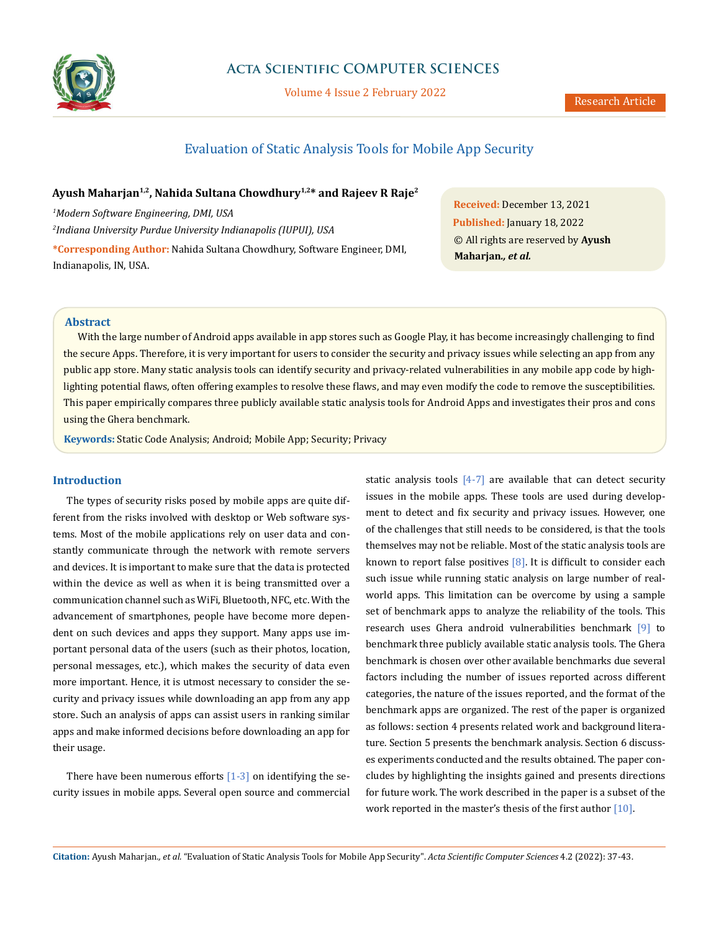

# **Acta Scientific COMPUTER SCIENCES**

Volume 4 Issue 2 February 2022

# Evaluation of Static Analysis Tools for Mobile App Security

## **Ayush Maharjan1,2, Nahida Sultana Chowdhury1,2\* and Rajeev R Raje2**

*1 Modern Software Engineering, DMI, USA 2 Indiana University Purdue University Indianapolis (IUPUI), USA* **\*Corresponding Author:** Nahida Sultana Chowdhury, Software Engineer, DMI, Indianapolis, IN, USA.

**Received:** December 13, 2021 **Published:** January 18, 2022 © All rights are reserved by **Ayush Maharjan***., et al.*

## **Abstract**

With the large number of Android apps available in app stores such as Google Play, it has become increasingly challenging to find the secure Apps. Therefore, it is very important for users to consider the security and privacy issues while selecting an app from any public app store. Many static analysis tools can identify security and privacy-related vulnerabilities in any mobile app code by highlighting potential flaws, often offering examples to resolve these flaws, and may even modify the code to remove the susceptibilities. This paper empirically compares three publicly available static analysis tools for Android Apps and investigates their pros and cons using the Ghera benchmark.

**Keywords:** Static Code Analysis; Android; Mobile App; Security; Privacy

## **Introduction**

The types of security risks posed by mobile apps are quite different from the risks involved with desktop or Web software systems. Most of the mobile applications rely on user data and constantly communicate through the network with remote servers and devices. It is important to make sure that the data is protected within the device as well as when it is being transmitted over a communication channel such as WiFi, Bluetooth, NFC, etc. With the advancement of smartphones, people have become more dependent on such devices and apps they support. Many apps use important personal data of the users (such as their photos, location, personal messages, etc.), which makes the security of data even more important. Hence, it is utmost necessary to consider the security and privacy issues while downloading an app from any app store. Such an analysis of apps can assist users in ranking similar apps and make informed decisions before downloading an app for their usage.

There have been numerous efforts  $[1-3]$  on identifying the security issues in mobile apps. Several open source and commercial static analysis tools  $[4-7]$  are available that can detect security issues in the mobile apps. These tools are used during development to detect and fix security and privacy issues. However, one of the challenges that still needs to be considered, is that the tools themselves may not be reliable. Most of the static analysis tools are known to report false positives  $[8]$ . It is difficult to consider each such issue while running static analysis on large number of realworld apps. This limitation can be overcome by using a sample set of benchmark apps to analyze the reliability of the tools. This research uses Ghera android vulnerabilities benchmark [9] to benchmark three publicly available static analysis tools. The Ghera benchmark is chosen over other available benchmarks due several factors including the number of issues reported across different categories, the nature of the issues reported, and the format of the benchmark apps are organized. The rest of the paper is organized as follows: section 4 presents related work and background literature. Section 5 presents the benchmark analysis. Section 6 discusses experiments conducted and the results obtained. The paper concludes by highlighting the insights gained and presents directions for future work. The work described in the paper is a subset of the work reported in the master's thesis of the first author [10].

**Citation:** Ayush Maharjan*., et al.* "Evaluation of Static Analysis Tools for Mobile App Security". *Acta Scientific Computer Sciences* 4.2 (2022): 37-43.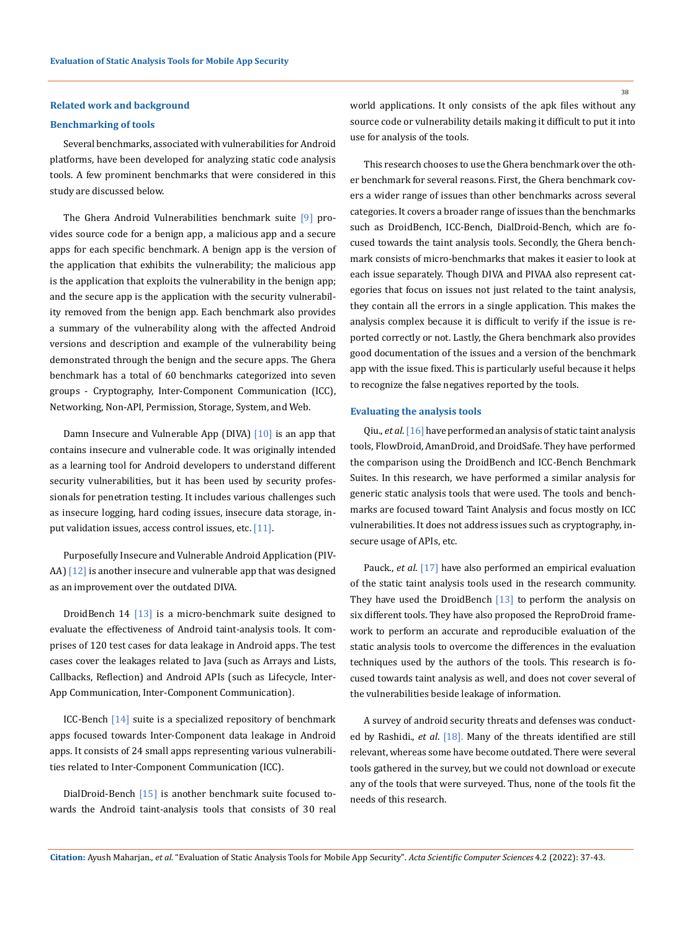## **Related work and background**

## **Benchmarking of tools**

Several benchmarks, associated with vulnerabilities for Android platforms, have been developed for analyzing static code analysis tools. A few prominent benchmarks that were considered in this study are discussed below.

The Ghera Android Vulnerabilities benchmark suite [9] provides source code for a benign app, a malicious app and a secure apps for each specific benchmark. A benign app is the version of the application that exhibits the vulnerability; the malicious app is the application that exploits the vulnerability in the benign app; and the secure app is the application with the security vulnerability removed from the benign app. Each benchmark also provides a summary of the vulnerability along with the affected Android versions and description and example of the vulnerability being demonstrated through the benign and the secure apps. The Ghera benchmark has a total of 60 benchmarks categorized into seven groups - Cryptography, Inter-Component Communication (ICC), Networking, Non-API, Permission, Storage, System, and Web.

Damn Insecure and Vulnerable App (DIVA)  $\lceil 10 \rceil$  is an app that contains insecure and vulnerable code. It was originally intended as a learning tool for Android developers to understand different security vulnerabilities, but it has been used by security professionals for penetration testing. It includes various challenges such as insecure logging, hard coding issues, insecure data storage, input validation issues, access control issues, etc.  $[11]$ .

Purposefully Insecure and Vulnerable Android Application (PIV-AA) [12] is another insecure and vulnerable app that was designed as an improvement over the outdated DIVA.

DroidBench 14 [13] is a micro-benchmark suite designed to evaluate the effectiveness of Android taint-analysis tools. It comprises of 120 test cases for data leakage in Android apps. The test cases cover the leakages related to Java (such as Arrays and Lists, Callbacks, Reflection) and Android APIs (such as Lifecycle, Inter-App Communication, Inter-Component Communication).

ICC-Bench [14] suite is a specialized repository of benchmark apps focused towards Inter-Component data leakage in Android apps. It consists of 24 small apps representing various vulnerabilities related to Inter-Component Communication (ICC).

DialDroid-Bench [15] is another benchmark suite focused towards the Android taint-analysis tools that consists of 30 real world applications. It only consists of the apk files without any source code or vulnerability details making it difficult to put it into use for analysis of the tools.

This research chooses to use the Ghera benchmark over the other benchmark for several reasons. First, the Ghera benchmark covers a wider range of issues than other benchmarks across several categories. It covers a broader range of issues than the benchmarks such as DroidBench, ICC-Bench, DialDroid-Bench, which are focused towards the taint analysis tools. Secondly, the Ghera benchmark consists of micro-benchmarks that makes it easier to look at each issue separately. Though DIVA and PIVAA also represent categories that focus on issues not just related to the taint analysis, they contain all the errors in a single application. This makes the analysis complex because it is difficult to verify if the issue is reported correctly or not. Lastly, the Ghera benchmark also provides good documentation of the issues and a version of the benchmark app with the issue fixed. This is particularly useful because it helps to recognize the false negatives reported by the tools.

#### **Evaluating the analysis tools**

Qiu., *et al*. [16] have performed an analysis of static taint analysis tools, FlowDroid, AmanDroid, and DroidSafe. They have performed the comparison using the DroidBench and ICC-Bench Benchmark Suites. In this research, we have performed a similar analysis for generic static analysis tools that were used. The tools and benchmarks are focused toward Taint Analysis and focus mostly on ICC vulnerabilities. It does not address issues such as cryptography, insecure usage of APIs, etc.

Pauck., *et al*. [17] have also performed an empirical evaluation of the static taint analysis tools used in the research community. They have used the DroidBench  $[13]$  to perform the analysis on six different tools. They have also proposed the ReproDroid framework to perform an accurate and reproducible evaluation of the static analysis tools to overcome the differences in the evaluation techniques used by the authors of the tools. This research is focused towards taint analysis as well, and does not cover several of the vulnerabilities beside leakage of information.

A survey of android security threats and defenses was conducted by Rashidi., *et al*. [18]. Many of the threats identified are still relevant, whereas some have become outdated. There were several tools gathered in the survey, but we could not download or execute any of the tools that were surveyed. Thus, none of the tools fit the needs of this research.

**Citation:** Ayush Maharjan*., et al.* "Evaluation of Static Analysis Tools for Mobile App Security". *Acta Scientific Computer Sciences* 4.2 (2022): 37-43.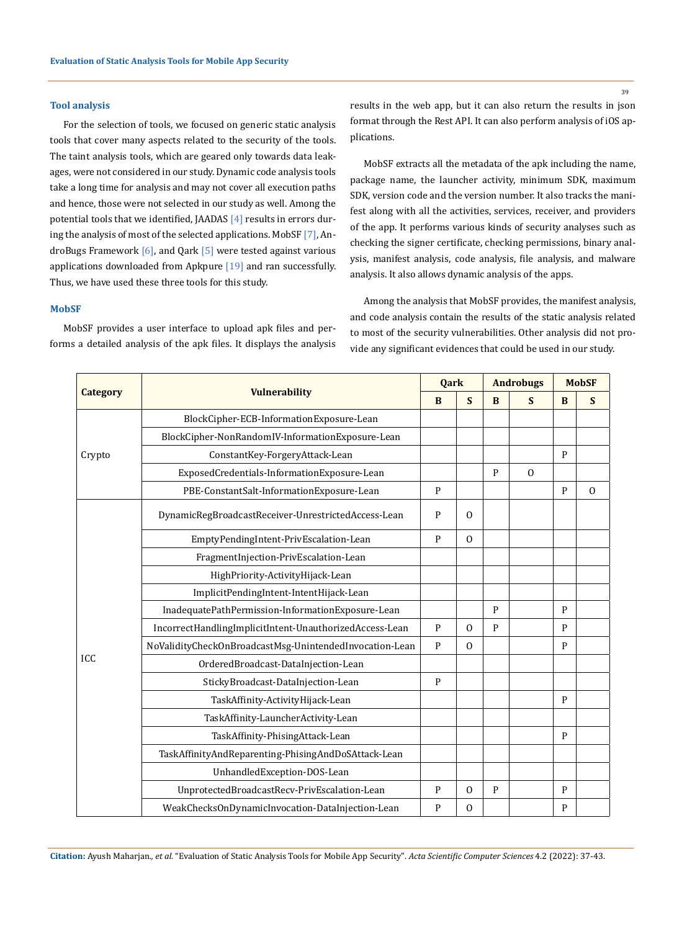## **Tool analysis**

For the selection of tools, we focused on generic static analysis tools that cover many aspects related to the security of the tools. The taint analysis tools, which are geared only towards data leakages, were not considered in our study. Dynamic code analysis tools take a long time for analysis and may not cover all execution paths and hence, those were not selected in our study as well. Among the potential tools that we identified, JAADAS [4] results in errors during the analysis of most of the selected applications. MobSF [7], AndroBugs Framework  $[6]$ , and Qark  $[5]$  were tested against various applications downloaded from Apkpure [19] and ran successfully. Thus, we have used these three tools for this study.

## **MobSF**

Crypto

MobSF provides a user interface to upload apk files and performs a detailed analysis of the apk files. It displays the analysis

**Category Vulnerability** 

BlockCipher-ECB-InformationExposure-Lean BlockCipher-NonRandomIV-InformationExposure-Lean

results in the web app, but it can also return the results in json format through the Rest API. It can also perform analysis of iOS applications.

MobSF extracts all the metadata of the apk including the name, package name, the launcher activity, minimum SDK, maximum SDK, version code and the version number. It also tracks the manifest along with all the activities, services, receiver, and providers of the app. It performs various kinds of security analyses such as checking the signer certificate, checking permissions, binary analysis, manifest analysis, code analysis, file analysis, and malware analysis. It also allows dynamic analysis of the apps.

Among the analysis that MobSF provides, the manifest analysis, and code analysis contain the results of the static analysis related to most of the security vulnerabilities. Other analysis did not provide any significant evidences that could be used in our study.

> **Qark** | Androbugs | MobSF **B S B S B S**

|            | ExposedCredentials-InformationExposure-Lean             |   |          | P | $\Omega$ |   |          |
|------------|---------------------------------------------------------|---|----------|---|----------|---|----------|
|            | PBE-ConstantSalt-InformationExposure-Lean               | P |          |   |          | P | $\Omega$ |
| <b>ICC</b> | DynamicRegBroadcastReceiver-UnrestrictedAccess-Lean     |   | $\Omega$ |   |          |   |          |
|            | EmptyPendingIntent-PrivEscalation-Lean                  | P | $\Omega$ |   |          |   |          |
|            | FragmentInjection-PrivEscalation-Lean                   |   |          |   |          |   |          |
|            | HighPriority-ActivityHijack-Lean                        |   |          |   |          |   |          |
|            | ImplicitPendingIntent-IntentHijack-Lean                 |   |          |   |          |   |          |
|            | InadequatePathPermission-InformationExposure-Lean       |   |          | P |          | P |          |
|            | IncorrectHandlingImplicitIntent-UnauthorizedAccess-Lean | P | $\Omega$ | P |          | P |          |
|            | NoValidityCheckOnBroadcastMsg-UnintendedInvocation-Lean | P | $\Omega$ |   |          | P |          |
|            | OrderedBroadcast-DataInjection-Lean                     |   |          |   |          |   |          |
|            | StickyBroadcast-DataInjection-Lean                      | P |          |   |          |   |          |
|            | TaskAffinity-ActivityHijack-Lean                        |   |          |   |          | P |          |
|            | TaskAffinity-LauncherActivity-Lean                      |   |          |   |          |   |          |
|            | TaskAffinity-PhisingAttack-Lean                         |   |          |   |          | P |          |
|            | TaskAffinityAndReparenting-PhisingAndDoSAttack-Lean     |   |          |   |          |   |          |
|            | UnhandledException-DOS-Lean                             |   |          |   |          |   |          |
|            | UnprotectedBroadcastRecv-PrivEscalation-Lean            | P | $\Omega$ | P |          | P |          |
|            | WeakChecksOnDynamicInvocation-DataInjection-Lean        | P | $\Omega$ |   |          | P |          |

ConstantKey-ForgeryAttack-Lean Property Property

**Citation:** Ayush Maharjan*., et al.* "Evaluation of Static Analysis Tools for Mobile App Security". *Acta Scientific Computer Sciences* 4.2 (2022): 37-43.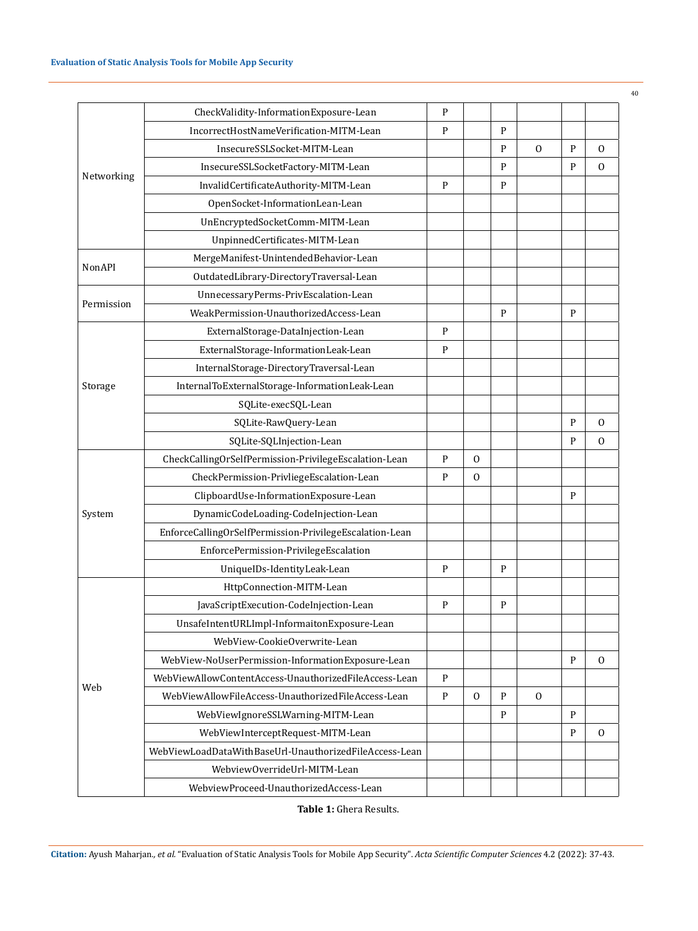|            | CheckValidity-InformationExposure-Lean                  | P            |              |   |              |              |              |
|------------|---------------------------------------------------------|--------------|--------------|---|--------------|--------------|--------------|
|            | IncorrectHostNameVerification-MITM-Lean                 | P            |              | P |              |              |              |
| Networking | InsecureSSLSocket-MITM-Lean                             |              |              | P | $\Omega$     | $\mathbf{P}$ | $\mathbf{0}$ |
|            | InsecureSSLSocketFactory-MITM-Lean                      |              |              | P |              | P            | $\mathbf{0}$ |
|            | InvalidCertificateAuthority-MITM-Lean                   | P            |              | P |              |              |              |
|            | OpenSocket-InformationLean-Lean                         |              |              |   |              |              |              |
|            | UnEncryptedSocketComm-MITM-Lean                         |              |              |   |              |              |              |
|            | UnpinnedCertificates-MITM-Lean                          |              |              |   |              |              |              |
| NonAPI     | MergeManifest-UnintendedBehavior-Lean                   |              |              |   |              |              |              |
|            | OutdatedLibrary-DirectoryTraversal-Lean                 |              |              |   |              |              |              |
|            | UnnecessaryPerms-PrivEscalation-Lean                    |              |              |   |              |              |              |
| Permission | WeakPermission-UnauthorizedAccess-Lean                  |              |              | P |              | P            |              |
|            | ExternalStorage-DataInjection-Lean                      | P            |              |   |              |              |              |
|            | ExternalStorage-InformationLeak-Lean                    | P            |              |   |              |              |              |
| Storage    | InternalStorage-DirectoryTraversal-Lean                 |              |              |   |              |              |              |
|            | InternalToExternalStorage-InformationLeak-Lean          |              |              |   |              |              |              |
|            | SQLite-execSQL-Lean                                     |              |              |   |              |              |              |
|            | SQLite-RawQuery-Lean                                    |              |              |   |              | P            | $\mathbf{0}$ |
|            | SQLite-SQLInjection-Lean                                |              |              |   |              | P            | $\mathbf{0}$ |
|            | CheckCallingOrSelfPermission-PrivilegeEscalation-Lean   | P            | $\mathbf{0}$ |   |              |              |              |
|            | CheckPermission-PrivliegeEscalation-Lean                | P            | $\Omega$     |   |              |              |              |
|            | ClipboardUse-InformationExposure-Lean                   |              |              |   |              | P            |              |
| System     | DynamicCodeLoading-CodeInjection-Lean                   |              |              |   |              |              |              |
|            | EnforceCallingOrSelfPermission-PrivilegeEscalation-Lean |              |              |   |              |              |              |
|            | EnforcePermission-PrivilegeEscalation                   |              |              |   |              |              |              |
|            | UniqueIDs-IdentityLeak-Lean                             | P            |              | P |              |              |              |
|            | HttpConnection-MITM-Lean                                |              |              |   |              |              |              |
|            | JavaScriptExecution-CodeInjection-Lean                  | P            |              | P |              |              |              |
|            | UnsafeIntentURLImpl-InformaitonExposure-Lean            |              |              |   |              |              |              |
|            | WebView-CookieOverwrite-Lean                            |              |              |   |              |              |              |
| Web        | WebView-NoUserPermission-InformationExposure-Lean       |              |              |   |              | $\mathbf{P}$ | $\mathbf{0}$ |
|            | WebViewAllowContentAccess-UnauthorizedFileAccess-Lean   | $\mathbf{P}$ |              |   |              |              |              |
|            | WebViewAllowFileAccess-UnauthorizedFileAccess-Lean      | $\mathbf{P}$ | $\mathbf{0}$ | P | $\mathbf{0}$ |              |              |
|            | WebViewIgnoreSSLWarning-MITM-Lean                       |              |              | P |              | P            |              |
|            | WebViewInterceptRequest-MITM-Lean                       |              |              |   |              | P            | $\mathbf{0}$ |
|            | WebViewLoadDataWithBaseUrl-UnauthorizedFileAccess-Lean  |              |              |   |              |              |              |
|            | WebviewOverrideUrl-MITM-Lean                            |              |              |   |              |              |              |
|            | WebviewProceed-UnauthorizedAccess-Lean                  |              |              |   |              |              |              |

**Table 1:** Ghera Results.

**Citation:** Ayush Maharjan*., et al.* "Evaluation of Static Analysis Tools for Mobile App Security". *Acta Scientific Computer Sciences* 4.2 (2022): 37-43.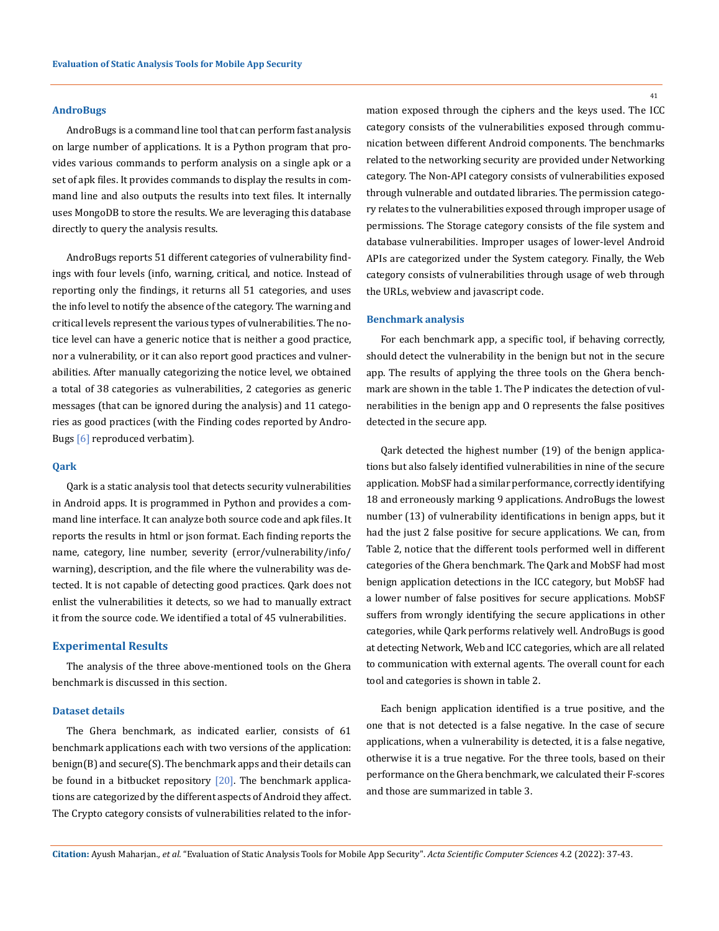#### **AndroBugs**

AndroBugs is a command line tool that can perform fast analysis on large number of applications. It is a Python program that provides various commands to perform analysis on a single apk or a set of apk files. It provides commands to display the results in command line and also outputs the results into text files. It internally uses MongoDB to store the results. We are leveraging this database directly to query the analysis results.

AndroBugs reports 51 different categories of vulnerability findings with four levels (info, warning, critical, and notice. Instead of reporting only the findings, it returns all 51 categories, and uses the info level to notify the absence of the category. The warning and critical levels represent the various types of vulnerabilities. The notice level can have a generic notice that is neither a good practice, nor a vulnerability, or it can also report good practices and vulnerabilities. After manually categorizing the notice level, we obtained a total of 38 categories as vulnerabilities, 2 categories as generic messages (that can be ignored during the analysis) and 11 categories as good practices (with the Finding codes reported by Andro-Bugs [6] reproduced verbatim).

## **Qark**

Qark is a static analysis tool that detects security vulnerabilities in Android apps. It is programmed in Python and provides a command line interface. It can analyze both source code and apk files. It reports the results in html or json format. Each finding reports the name, category, line number, severity (error/vulnerability/info/ warning), description, and the file where the vulnerability was detected. It is not capable of detecting good practices. Qark does not enlist the vulnerabilities it detects, so we had to manually extract it from the source code. We identified a total of 45 vulnerabilities.

## **Experimental Results**

The analysis of the three above-mentioned tools on the Ghera benchmark is discussed in this section.

#### **Dataset details**

The Ghera benchmark, as indicated earlier, consists of 61 benchmark applications each with two versions of the application: benign(B) and secure(S). The benchmark apps and their details can be found in a bitbucket repository  $[20]$ . The benchmark applications are categorized by the different aspects of Android they affect. The Crypto category consists of vulnerabilities related to the infor41

mation exposed through the ciphers and the keys used. The ICC category consists of the vulnerabilities exposed through communication between different Android components. The benchmarks related to the networking security are provided under Networking category. The Non-API category consists of vulnerabilities exposed through vulnerable and outdated libraries. The permission category relates to the vulnerabilities exposed through improper usage of permissions. The Storage category consists of the file system and database vulnerabilities. Improper usages of lower-level Android APIs are categorized under the System category. Finally, the Web category consists of vulnerabilities through usage of web through the URLs, webview and javascript code.

#### **Benchmark analysis**

For each benchmark app, a specific tool, if behaving correctly, should detect the vulnerability in the benign but not in the secure app. The results of applying the three tools on the Ghera benchmark are shown in the table 1. The P indicates the detection of vulnerabilities in the benign app and O represents the false positives detected in the secure app.

Qark detected the highest number (19) of the benign applications but also falsely identified vulnerabilities in nine of the secure application. MobSF had a similar performance, correctly identifying 18 and erroneously marking 9 applications. AndroBugs the lowest number (13) of vulnerability identifications in benign apps, but it had the just 2 false positive for secure applications. We can, from Table 2, notice that the different tools performed well in different categories of the Ghera benchmark. The Qark and MobSF had most benign application detections in the ICC category, but MobSF had a lower number of false positives for secure applications. MobSF suffers from wrongly identifying the secure applications in other categories, while Qark performs relatively well. AndroBugs is good at detecting Network, Web and ICC categories, which are all related to communication with external agents. The overall count for each tool and categories is shown in table 2.

Each benign application identified is a true positive, and the one that is not detected is a false negative. In the case of secure applications, when a vulnerability is detected, it is a false negative, otherwise it is a true negative. For the three tools, based on their performance on the Ghera benchmark, we calculated their F-scores and those are summarized in table 3.

**Citation:** Ayush Maharjan*., et al.* "Evaluation of Static Analysis Tools for Mobile App Security". *Acta Scientific Computer Sciences* 4.2 (2022): 37-43.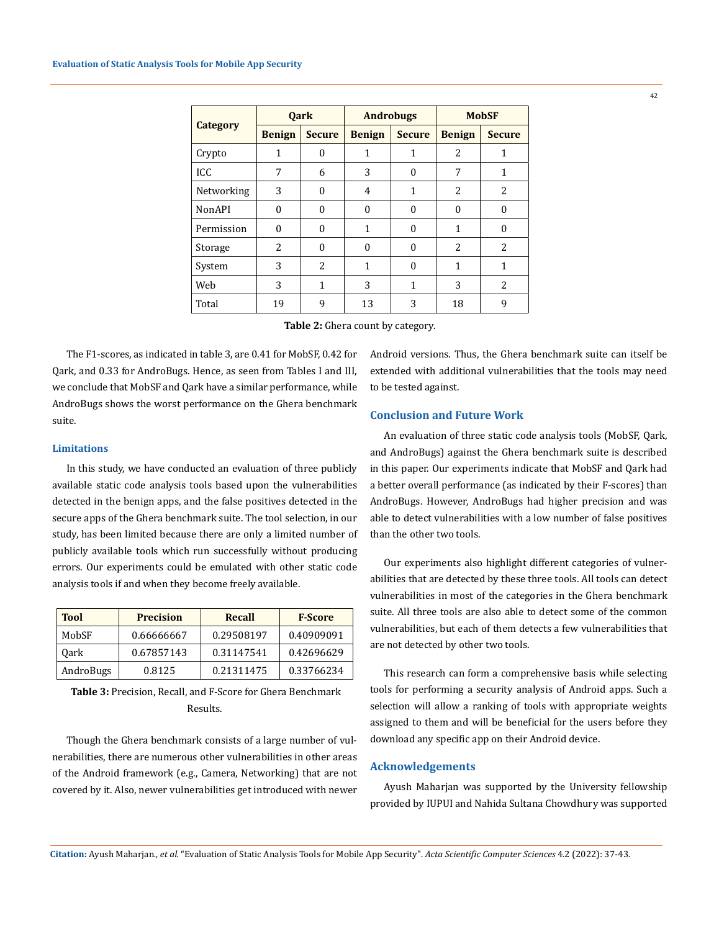|                 | <b>Oark</b>              |               | <b>Androbugs</b> |               | <b>MobSF</b>             |               |  |
|-----------------|--------------------------|---------------|------------------|---------------|--------------------------|---------------|--|
| <b>Category</b> | <b>Benign</b>            | <b>Secure</b> | <b>Benign</b>    | <b>Secure</b> | <b>Benign</b>            | <b>Secure</b> |  |
| Crypto          | 1                        | 0             | 1                | 1             | 2                        | 1             |  |
| ICC             | 7                        | 6             | 3                | 0             | 7                        | 1             |  |
| Networking      | 3                        | 0             | 4                | 1             | $\overline{\mathcal{L}}$ | 2             |  |
| <b>NonAPI</b>   | $\Omega$                 | $\Omega$      | $\Omega$         | $\Omega$      | $\Omega$                 | $\theta$      |  |
| Permission      | $\theta$                 | $\theta$      | 1                | $\Omega$      | 1                        | $\Omega$      |  |
| Storage         | $\overline{\mathcal{L}}$ | 0             | $\Omega$         | $\Omega$      | $\overline{\mathcal{L}}$ | 2             |  |
| System          | 3                        | 2             | 1                | $\Omega$      | 1                        | 1             |  |
| Web             | 3                        | $\mathbf{1}$  | 3                | $\mathbf{1}$  | 3                        | 2             |  |
| Total           | 19                       | 9             | 13               | 3             | 18                       | 9             |  |

**Table 2:** Ghera count by category.

The F1-scores, as indicated in table 3, are 0.41 for MobSF, 0.42 for Qark, and 0.33 for AndroBugs. Hence, as seen from Tables I and III, we conclude that MobSF and Qark have a similar performance, while AndroBugs shows the worst performance on the Ghera benchmark suite.

## **Limitations**

In this study, we have conducted an evaluation of three publicly available static code analysis tools based upon the vulnerabilities detected in the benign apps, and the false positives detected in the secure apps of the Ghera benchmark suite. The tool selection, in our study, has been limited because there are only a limited number of publicly available tools which run successfully without producing errors. Our experiments could be emulated with other static code analysis tools if and when they become freely available.

| <b>Tool</b> | <b>Precision</b> | Recall     | <b>F-Score</b> |
|-------------|------------------|------------|----------------|
| MobSF       | 0.66666667       | 0.29508197 | 0.40909091     |
| 0ark        | 0.67857143       | 0.31147541 | 0.42696629     |
| AndroBugs   | 0.8125           | 0.21311475 | 0.33766234     |

**Table 3:** Precision, Recall, and F-Score for Ghera Benchmark Results.

Though the Ghera benchmark consists of a large number of vulnerabilities, there are numerous other vulnerabilities in other areas of the Android framework (e.g., Camera, Networking) that are not covered by it. Also, newer vulnerabilities get introduced with newer Android versions. Thus, the Ghera benchmark suite can itself be extended with additional vulnerabilities that the tools may need to be tested against.

## **Conclusion and Future Work**

An evaluation of three static code analysis tools (MobSF, Qark, and AndroBugs) against the Ghera benchmark suite is described in this paper. Our experiments indicate that MobSF and Qark had a better overall performance (as indicated by their F-scores) than AndroBugs. However, AndroBugs had higher precision and was able to detect vulnerabilities with a low number of false positives than the other two tools.

Our experiments also highlight different categories of vulnerabilities that are detected by these three tools. All tools can detect vulnerabilities in most of the categories in the Ghera benchmark suite. All three tools are also able to detect some of the common vulnerabilities, but each of them detects a few vulnerabilities that are not detected by other two tools.

This research can form a comprehensive basis while selecting tools for performing a security analysis of Android apps. Such a selection will allow a ranking of tools with appropriate weights assigned to them and will be beneficial for the users before they download any specific app on their Android device.

## **Acknowledgements**

Ayush Maharjan was supported by the University fellowship provided by IUPUI and Nahida Sultana Chowdhury was supported